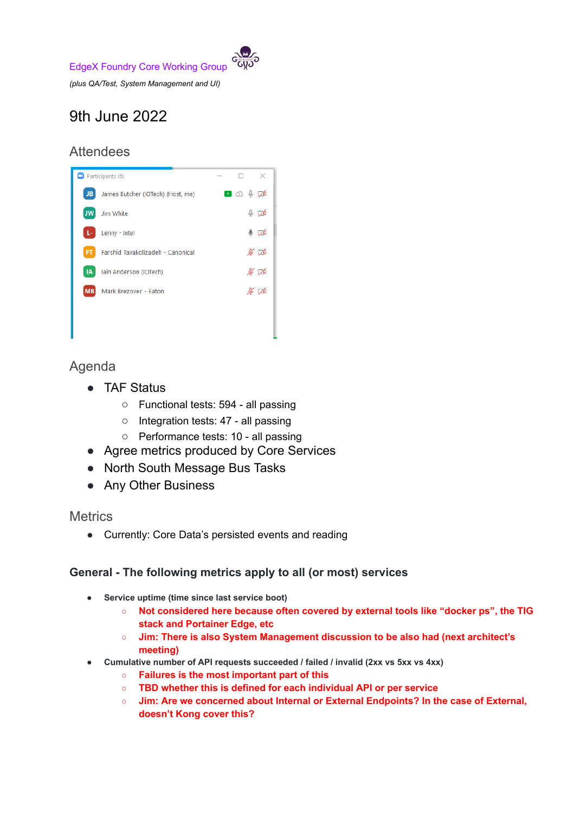

9th June 2022

## **Attendees**



# Agenda

- TAF Status
	- Functional tests: 594 all passing
	- Integration tests: 47 all passing
	- Performance tests: 10 all passing
- Agree metrics produced by Core Services
- North South Message Bus Tasks
- Any Other Business

## **Metrics**

● Currently: Core Data's persisted events and reading

## **General - The following metrics apply to all (or most) services**

- **● Service uptime (time since last service boot)**
	- **○ Not considered here because often covered by external tools like "docker ps", the TIG stack and Portainer Edge, etc**
	- **○ Jim: There is also System Management discussion to be also had (next architect's meeting)**
- **● Cumulative number of API requests succeeded / failed / invalid (2xx vs 5xx vs 4xx)**
	- **○ Failures is the most important part of this**
	- **○ TBD whether this is defined for each individual API or per service**
	- **○ Jim: Are we concerned about Internal or External Endpoints? In the case of External, doesn't Kong cover this?**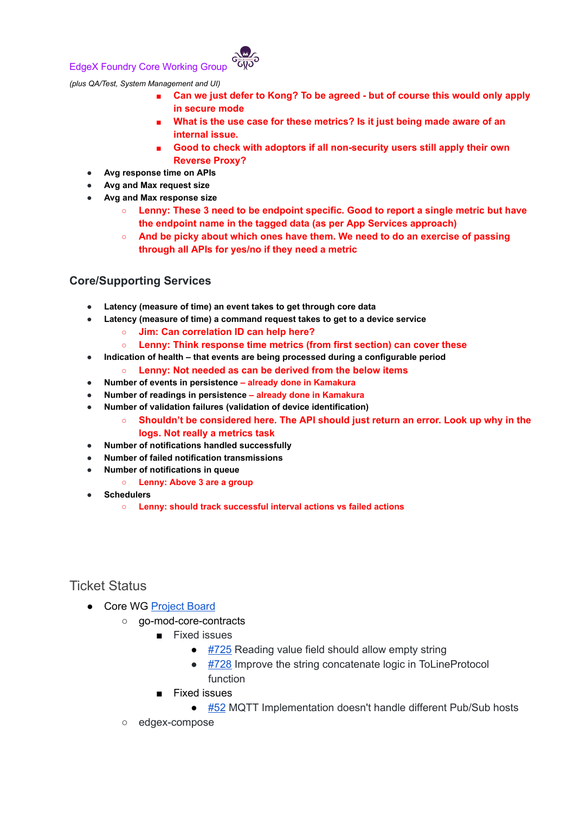#### EdgeX Foundry Core Working Group



*(plus QA/Test, System Management and UI)*

- **■ Can we just defer to Kong? To be agreed - but of course this would only apply in secure mode**
- **■ What is the use case for these metrics? Is it just being made aware of an internal issue.**
- **■ Good to check with adoptors if all non-security users still apply their own Reverse Proxy?**
- **● Avg response time on APIs**
- **● Avg and Max request size**
- **● Avg and Max response size**
	- **○ Lenny: These 3 need to be endpoint specific. Good to report a single metric but have the endpoint name in the tagged data (as per App Services approach)**
	- **○ And be picky about which ones have them. We need to do an exercise of passing through all APIs for yes/no if they need a metric**

#### **Core/Supporting Services**

- **● Latency (measure of time) an event takes to get through core data**
- **● Latency (measure of time) a command request takes to get to a device service**
	- **○ Jim: Can correlation ID can help here?**
	- **○ Lenny: Think response time metrics (from first section) can cover these**
- **● Indication of health that events are being processed during a configurable period**
	- **○ Lenny: Not needed as can be derived from the below items**
- **● Number of events in persistence already done in Kamakura**
- **● Number of readings in persistence already done in Kamakura**
- **● Number of validation failures (validation of device identification)**
	- **○ Shouldn't be considered here. The API should just return an error. Look up why in the logs. Not really a metrics task**
- **● Number of notifications handled successfully**
- **● Number of failed notification transmissions**
- **● Number of notifications in queue**
	- **○ Lenny: Above 3 are a group**
- **● Schedulers**
	- **○ Lenny: should track successful interval actions vs failed actions**

## Ticket Status

- Core WG [Project](https://github.com/orgs/edgexfoundry/projects/25) Board
	- **go-mod-core-contracts** 
		- Fixed issues
			- [#725](https://github.com/edgexfoundry/go-mod-core-contracts/issues/725) Reading value field should allow empty string
			- [#728](https://github.com/edgexfoundry/go-mod-core-contracts/issues/728) Improve the string concatenate logic in ToLineProtocol function
		- Fixed issues
			- [#52](https://github.com/edgexfoundry/go-mod-messaging/issues/52) MQTT Implementation doesn't handle different Pub/Sub hosts
	- edgex-compose